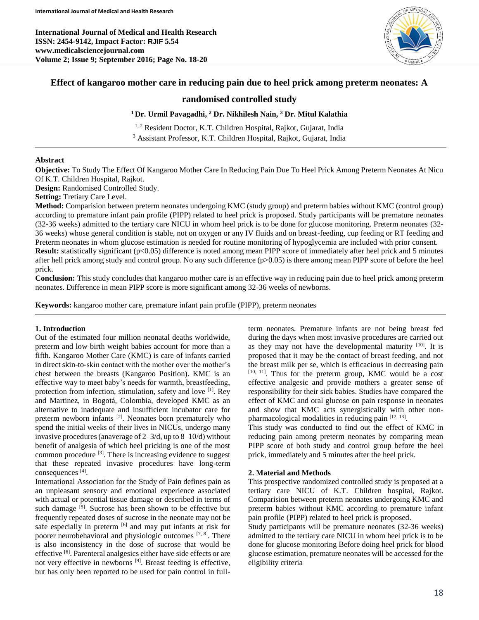**International Journal of Medical and Health Research ISSN: 2454-9142, Impact Factor: RJIF 5.54 www.medicalsciencejournal.com Volume 2; Issue 9; September 2016; Page No. 18-20**



# **Effect of kangaroo mother care in reducing pain due to heel prick among preterm neonates: A**

### **randomised controlled study**

**<sup>1</sup>Dr. Urmil Pavagadhi, <sup>2</sup> Dr. Nikhilesh Nain, <sup>3</sup> Dr. Mitul Kalathia**

<sup>1, 2</sup> Resident Doctor, K.T. Children Hospital, Rajkot, Gujarat, India

<sup>3</sup> Assistant Professor, K.T. Children Hospital, Rajkot, Gujarat, India

#### **Abstract**

**Objective:** To Study The Effect Of Kangaroo Mother Care In Reducing Pain Due To Heel Prick Among Preterm Neonates At Nicu Of K.T. Children Hospital, Rajkot.

**Design:** Randomised Controlled Study.

**Setting:** Tretiary Care Level.

**Method:** Comparision between preterm neonates undergoing KMC (study group) and preterm babies without KMC (control group) according to premature infant pain profile (PIPP) related to heel prick is proposed. Study participants will be premature neonates (32-36 weeks) admitted to the tertiary care NICU in whom heel prick is to be done for glucose monitoring. Preterm neonates (32- 36 weeks) whose general condition is stable, not on oxygen or any IV fluids and on breast-feeding, cup feeding or RT feeding and Preterm neonates in whom glucose estimation is needed for routine monitoring of hypoglycemia are included with prior consent. **Result:** statistically significant (p<0.05) difference is noted among mean PIPP score of immediately after heel prick and 5 minutes after hell prick among study and control group. No any such difference (p>0.05) is there among mean PIPP score of before the heel prick.

**Conclusion:** This study concludes that kangaroo mother care is an effective way in reducing pain due to heel prick among preterm neonates. Difference in mean PIPP score is more significant among 32-36 weeks of newborns.

**Keywords:** kangaroo mother care, premature infant pain profile (PIPP), preterm neonates

#### **1. Introduction**

Out of the estimated four million neonatal deaths worldwide, preterm and low birth weight babies account for more than a fifth. Kangaroo Mother Care (KMC) is care of infants carried in direct skin-to-skin contact with the mother over the mother's chest between the breasts (Kangaroo Position). KMC is an effective way to meet baby's needs for warmth, breastfeeding, protection from infection, stimulation, safety and love <sup>[1]</sup>. Rey and Martinez, in Bogotá, Colombia, developed KMC as an alternative to inadequate and insufficient incubator care for preterm newborn infants <sup>[2]</sup>. Neonates born prematurely who spend the initial weeks of their lives in NICUs, undergo many invasive procedures (anaverage of 2–3/d, up to 8–10/d) without benefit of analgesia of which heel pricking is one of the most common procedure [3]. There is increasing evidence to suggest that these repeated invasive procedures have long-term consequences [4].

International Association for the Study of Pain defines pain as an unpleasant sensory and emotional experience associated with actual or potential tissue damage or described in terms of such damage  $\overline{[5]}$ . Sucrose has been shown to be effective but frequently repeated doses of sucrose in the neonate may not be safe especially in preterm [6] and may put infants at risk for poorer neurobehavioral and physiologic outcomes [7, 8]. There is also inconsistency in the dose of sucrose that would be effective <sup>[6]</sup>. Parenteral analgesics either have side effects or are not very effective in newborns [9]. Breast feeding is effective, but has only been reported to be used for pain control in full-

term neonates. Premature infants are not being breast fed during the days when most invasive procedures are carried out as they may not have the developmental maturity  $[10]$ . It is proposed that it may be the contact of breast feeding, and not the breast milk per se, which is efficacious in decreasing pain  $[10, 11]$ . Thus for the preterm group, KMC would be a cost effective analgesic and provide mothers a greater sense of responsibility for their sick babies. Studies have compared the effect of KMC and oral glucose on pain response in neonates and show that KMC acts synergistically with other nonpharmacological modalities in reducing pain  $[12, 13]$ .

This study was conducted to find out the effect of KMC in reducing pain among preterm neonates by comparing mean PIPP score of both study and control group before the heel prick, immediately and 5 minutes after the heel prick.

#### **2. Material and Methods**

This prospective randomized controlled study is proposed at a tertiary care NICU of K.T. Children hospital, Rajkot. Comparision between preterm neonates undergoing KMC and preterm babies without KMC according to premature infant pain profile (PIPP) related to heel prick is proposed.

Study participants will be premature neonates (32-36 weeks) admitted to the tertiary care NICU in whom heel prick is to be done for glucose monitoring Before doing heel prick for blood glucose estimation, premature neonates will be accessed for the eligibility criteria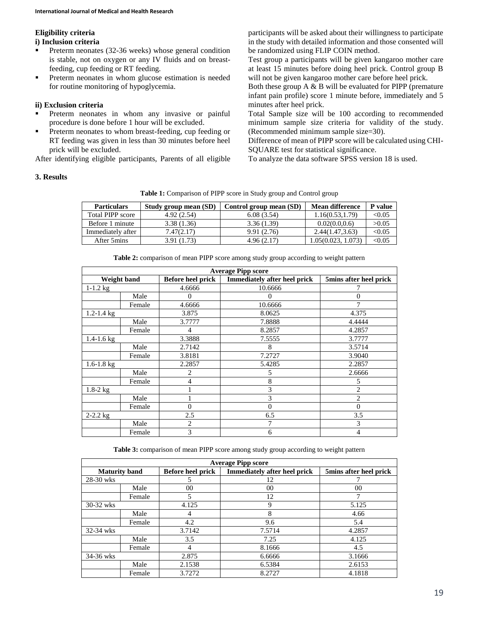# **Eligibility criteria**

#### **i) Inclusion criteria**

- **Preterm neonates (32-36 weeks) whose general condition** is stable, not on oxygen or any IV fluids and on breastfeeding, cup feeding or RT feeding.
- **•** Preterm neonates in whom glucose estimation is needed for routine monitoring of hypoglycemia.

## **ii) Exclusion criteria**

- Preterm neonates in whom any invasive or painful procedure is done before 1 hour will be excluded.
- **Preterm neonates to whom breast-feeding, cup feeding or** RT feeding was given in less than 30 minutes before heel prick will be excluded.

After identifying eligible participants, Parents of all eligible

participants will be asked about their willingness to participate in the study with detailed information and those consented will be randomized using FLIP COIN method.

Test group a participants will be given kangaroo mother care at least 15 minutes before doing heel prick. Control group B will not be given kangaroo mother care before heel prick.

Both these group A & B will be evaluated for PIPP (premature infant pain profile) score 1 minute before, immediately and 5 minutes after heel prick.

Total Sample size will be 100 according to recommended minimum sample size criteria for validity of the study. (Recommended minimum sample size=30).

Difference of mean of PIPP score will be calculated using CHI-SQUARE test for statistical significance.

To analyze the data software SPSS version 18 is used.

### **3. Results**

**Table 1:** Comparison of PIPP score in Study group and Control group

| <b>Particulars</b> | Study group mean (SD) | Control group mean (SD) | <b>Mean difference</b> | P value |
|--------------------|-----------------------|-------------------------|------------------------|---------|
| Total PIPP score   | 4.92(2.54)            | 6.08(3.54)              | 1.16(0.53, 1.79)       | < 0.05  |
| Before 1 minute    | 3.38(1.36)            | 3.36(1.39)              | 0.02(0.0.0.6)          | >0.05   |
| Immediately after  | 7.47(2.17)            | 9.91(2.76)              | 2.44(1.47,3.63)        | < 0.05  |
| After 5 mins       | 3.91 (1.73)           | 4.96(2.17)              | 1.05(0.023, 1.073)     | < 0.05  |

**Table 2:** comparison of mean PIPP score among study group according to weight pattern

| <b>Average Pipp score</b> |        |                          |                                     |                        |  |  |  |
|---------------------------|--------|--------------------------|-------------------------------------|------------------------|--|--|--|
| <b>Weight band</b>        |        | <b>Before heel prick</b> | <b>Immediately after heel prick</b> | 5mins after heel prick |  |  |  |
| $1 - 1.2$ kg              |        | 4.6666                   | 10.6666                             |                        |  |  |  |
|                           | Male   | 0                        | $\mathbf{\Omega}$                   | 0                      |  |  |  |
|                           | Female | 4.6666                   | 10.6666                             | 7                      |  |  |  |
| $1.2 - 1.4$ kg            |        | 3.875                    | 8.0625                              | 4.375                  |  |  |  |
|                           | Male   | 3.7777                   | 7.8888                              | 4.4444                 |  |  |  |
|                           | Female | 4                        | 8.2857                              | 4.2857                 |  |  |  |
| $1.4 - 1.6$ kg            |        | 3.3888                   | 7.5555                              | 3.7777                 |  |  |  |
|                           | Male   | 2.7142                   | 8                                   | 3.5714                 |  |  |  |
|                           | Female | 3.8181                   | 7.2727                              | 3.9040                 |  |  |  |
| $1.6 - 1.8$ kg            |        | 2.2857                   | 5.4285                              | 2.2857                 |  |  |  |
|                           | Male   | 2                        | 5                                   | 2.6666                 |  |  |  |
|                           | Female | 4                        | 8                                   | 5                      |  |  |  |
| $1.8 - 2 kg$              |        |                          | 3                                   | $\overline{2}$         |  |  |  |
|                           | Male   |                          | 3                                   | 2                      |  |  |  |
|                           | Female | $\overline{0}$           | $\theta$                            | $\overline{0}$         |  |  |  |
| $2 - 2.2$ kg              |        | 2.5                      | 6.5                                 | 3.5                    |  |  |  |
|                           | Male   | 2                        | 7                                   | 3                      |  |  |  |
|                           | Female | 3                        | 6                                   | 4                      |  |  |  |

**Table 3:** comparison of mean PIPP score among study group according to weight pattern

| <b>Average Pipp score</b> |        |                          |                                     |                        |  |  |
|---------------------------|--------|--------------------------|-------------------------------------|------------------------|--|--|
| <b>Maturity band</b>      |        | <b>Before heel prick</b> | <b>Immediately after heel prick</b> | 5mins after heel prick |  |  |
| 28-30 wks                 |        | 5                        | 12                                  |                        |  |  |
|                           | Male   | 00                       | 00                                  | 0 <sup>0</sup>         |  |  |
|                           | Female | 5                        | 12                                  | 7                      |  |  |
| 30-32 wks                 |        | 4.125                    | 9                                   | 5.125                  |  |  |
|                           | Male   | 4                        | 8                                   | 4.66                   |  |  |
|                           | Female | 4.2                      | 9.6                                 | 5.4                    |  |  |
| 32-34 wks                 |        | 3.7142                   | 7.5714                              | 4.2857                 |  |  |
|                           | Male   | 3.5                      | 7.25                                | 4.125                  |  |  |
|                           | Female | 4                        | 8.1666                              | 4.5                    |  |  |
| 34-36 wks                 |        | 2.875                    | 6.6666                              | 3.1666                 |  |  |
|                           | Male   | 2.1538                   | 6.5384                              | 2.6153                 |  |  |
|                           | Female | 3.7272                   | 8.2727                              | 4.1818                 |  |  |